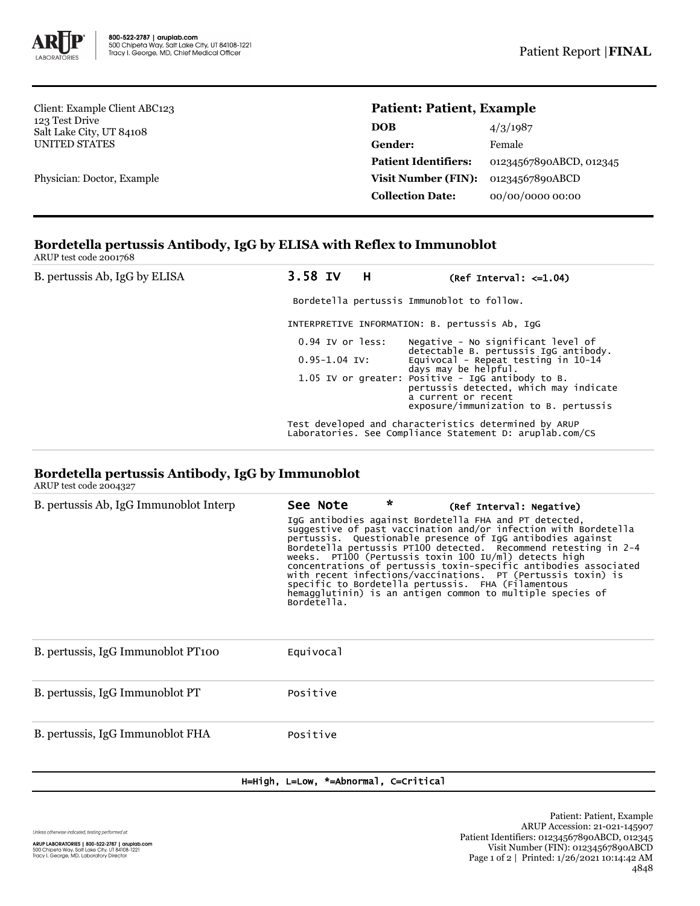

Client: Example Client ABC123 123 Test Drive Salt Lake City, UT 84108 UNITED STATES

Physician: Doctor, Example

# **Patient: Patient, Example**

| 4/3/1987                |
|-------------------------|
| Female                  |
| 01234567890ABCD, 012345 |
| 01234567890ABCD         |
| 00/00/0000 00:00        |
|                         |

#### **Bordetella pertussis Antibody, IgG by ELISA with Reflex to Immunoblot** ARUP test code 2001768

| B. pertussis Ab, IgG by ELISA | 3.58 IV H                                  | (Ref Interval: $\leq 1.04$ )                                                                                                                                |  |  |  |
|-------------------------------|--------------------------------------------|-------------------------------------------------------------------------------------------------------------------------------------------------------------|--|--|--|
|                               | Bordetella pertussis Immunoblot to follow. |                                                                                                                                                             |  |  |  |
|                               |                                            | INTERPRETIVE INFORMATION: B. pertussis Ab, IqG                                                                                                              |  |  |  |
|                               | $0.94$ IV or less:                         | Negative - No significant level of<br>detectable B. pertussis IgG antibody.                                                                                 |  |  |  |
|                               | $0.95 - 1.04$ IV:                          | Equivocal - Repeat testing in 10-14<br>days may be helpful.                                                                                                 |  |  |  |
|                               |                                            | 1.05 IV or greater: Positive - IgG antibody to B.<br>pertussis detected, which may indicate<br>a current or recent<br>exposure/immunization to B. pertussis |  |  |  |
|                               |                                            | Test developed and characteristics determined by ARUP<br>Laboratories. See Compliance Statement D: aruplab.com/CS                                           |  |  |  |

## **Bordetella pertussis Antibody, IgG by Immunoblot**

ARUP test code 2004327

| B. pertussis Ab, IgG Immunoblot Interp | See Note<br>Bordetella. | * | (Ref Interval: Negative)<br>IgG antibodies against Bordetella FHA and PT detected,<br>suggestive of past vaccination and/or infection with Bordetella<br>pertussis. Questionable presence of IgG antibodies against<br>Bordetella pertussis PT100 detected. Recommend retesting in 2-4<br>weeks. PT100 (Pertussis toxin 100 IU/ml) detects high<br>concentrations of pertussis toxin-specific antibodies associated<br>with recent infections/vaccinations. PT (Pertussis toxin) is<br>specific to Bordetella pertussis. FHA (Filamentous<br>hemagglutinin) is an antigen common to multiple species of |
|----------------------------------------|-------------------------|---|---------------------------------------------------------------------------------------------------------------------------------------------------------------------------------------------------------------------------------------------------------------------------------------------------------------------------------------------------------------------------------------------------------------------------------------------------------------------------------------------------------------------------------------------------------------------------------------------------------|
| B. pertussis, IgG Immunoblot PT100     | Equivocal               |   |                                                                                                                                                                                                                                                                                                                                                                                                                                                                                                                                                                                                         |
| B. pertussis, IgG Immunoblot PT        | Positive                |   |                                                                                                                                                                                                                                                                                                                                                                                                                                                                                                                                                                                                         |
| B. pertussis, IgG Immunoblot FHA       | Positive                |   |                                                                                                                                                                                                                                                                                                                                                                                                                                                                                                                                                                                                         |

### H=High, L=Low, \*=Abnormal, C=Critical

Unless otherwise indicated, testing performed at: